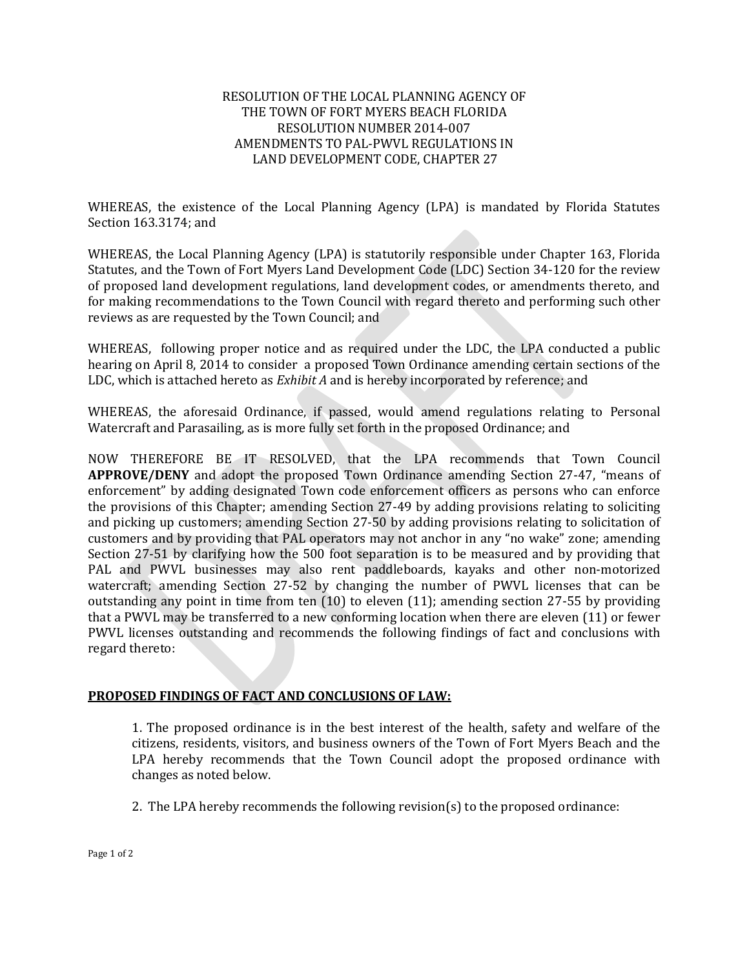#### RESOLUTION OF THE LOCAL PLANNING AGENCY OF THE TOWN OF FORT MYERS BEACH FLORIDA RESOLUTION NUMBER 2014-007 AMENDMENTS TO PAL-PWVL REGULATIONS IN LAND DEVELOPMENT CODE, CHAPTER 27

WHEREAS, the existence of the Local Planning Agency (LPA) is mandated by Florida Statutes Section 163.3174; and

WHEREAS, the Local Planning Agency (LPA) is statutorily responsible under Chapter 163, Florida Statutes, and the Town of Fort Myers Land Development Code (LDC) Section 34-120 for the review of proposed land development regulations, land development codes, or amendments thereto, and for making recommendations to the Town Council with regard thereto and performing such other reviews as are requested by the Town Council; and

WHEREAS, following proper notice and as required under the LDC, the LPA conducted a public hearing on April 8, 2014 to consider a proposed Town Ordinance amending certain sections of the LDC, which is attached hereto as *Exhibit A* and is hereby incorporated by reference; and

WHEREAS, the aforesaid Ordinance, if passed, would amend regulations relating to Personal Watercraft and Parasailing, as is more fully set forth in the proposed Ordinance; and

NOW THEREFORE BE IT RESOLVED, that the LPA recommends that Town Council **APPROVE/DENY** and adopt the proposed Town Ordinance amending Section 27-47, "means of enforcement" by adding designated Town code enforcement officers as persons who can enforce the provisions of this Chapter; amending Section 27-49 by adding provisions relating to soliciting and picking up customers; amending Section 27-50 by adding provisions relating to solicitation of customers and by providing that PAL operators may not anchor in any "no wake" zone; amending Section 27-51 by clarifying how the 500 foot separation is to be measured and by providing that PAL and PWVL businesses may also rent paddleboards, kayaks and other non-motorized watercraft; amending Section 27-52 by changing the number of PWVL licenses that can be outstanding any point in time from ten (10) to eleven (11); amending section 27-55 by providing that a PWVL may be transferred to a new conforming location when there are eleven (11) or fewer PWVL licenses outstanding and recommends the following findings of fact and conclusions with regard thereto:

#### **PROPOSED FINDINGS OF FACT AND CONCLUSIONS OF LAW:**

1. The proposed ordinance is in the best interest of the health, safety and welfare of the citizens, residents, visitors, and business owners of the Town of Fort Myers Beach and the LPA hereby recommends that the Town Council adopt the proposed ordinance with changes as noted below.

2. The LPA hereby recommends the following revision(s) to the proposed ordinance: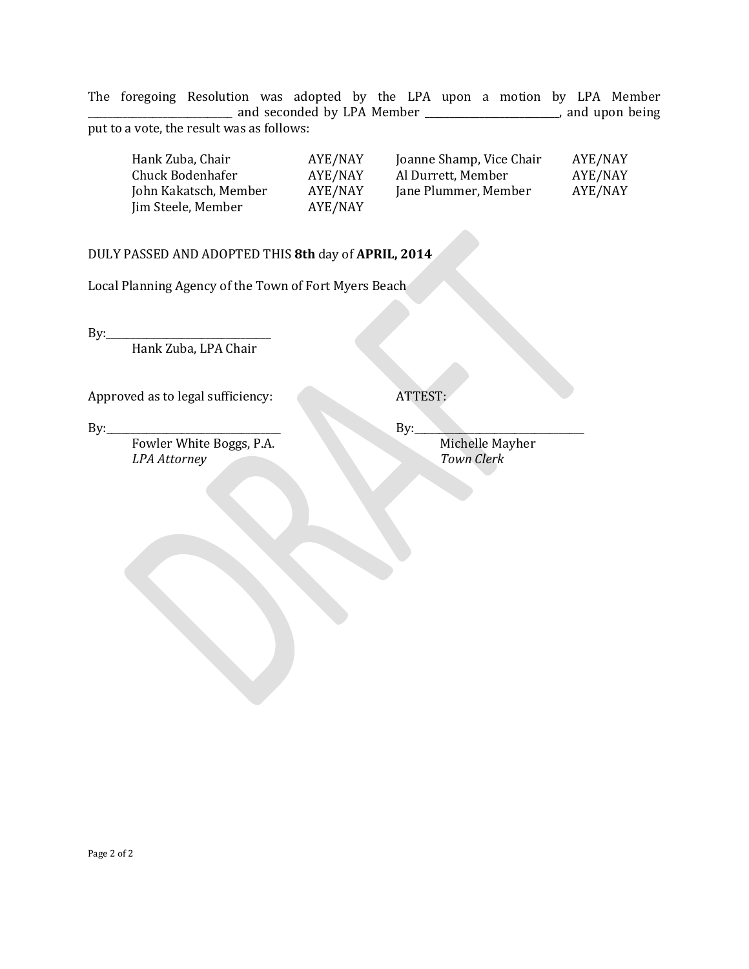The foregoing Resolution was adopted by the LPA upon a motion by LPA Member \_\_\_\_\_\_\_\_\_\_\_\_\_\_\_\_\_\_\_\_\_\_\_\_\_\_\_\_\_ and seconded by LPA Member **\_\_\_\_\_\_\_\_\_\_\_\_\_\_\_\_\_\_\_\_\_\_\_\_\_\_\_**, and upon being put to a vote, the result was as follows:

| Hank Zuba, Chair      | AYE/NAY | Joanne Shamp, Vice Chair | AYE/NAY |
|-----------------------|---------|--------------------------|---------|
| Chuck Bodenhafer      | AYE/NAY | Al Durrett, Member       | AYE/NAY |
| John Kakatsch, Member | AYE/NAY | Jane Plummer, Member     | AYE/NAY |
| Jim Steele, Member    | AYE/NAY |                          |         |
|                       |         |                          |         |

### DULY PASSED AND ADOPTED THIS **8th** day of **APRIL, 2014**

Local Planning Agency of the Town of Fort Myers Beach

By:\_\_\_\_\_\_\_\_\_\_\_\_\_\_\_\_\_\_\_\_\_\_\_\_\_\_\_\_\_\_\_\_\_ Hank Zuba, LPA Chair

Approved as to legal sufficiency: ATTEST:

By:\_\_\_\_\_\_\_\_\_\_\_\_\_\_\_\_\_\_\_\_\_\_\_\_\_\_\_\_\_\_\_\_\_\_\_ By:\_\_\_\_\_\_\_\_\_\_\_\_\_\_\_\_\_\_\_\_\_\_\_\_\_\_\_\_\_\_\_\_\_\_ Fowler White Boggs, P.A. Michelle Mayher<br> *LPA Attorney* Town Clerk LPA Attorney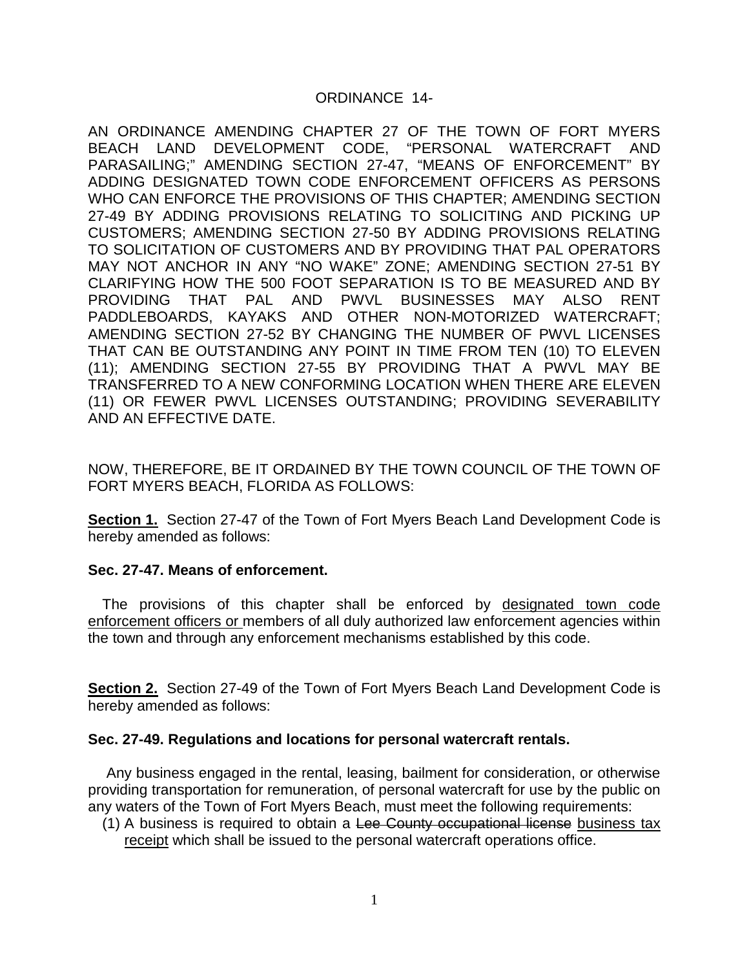### ORDINANCE 14-

AN ORDINANCE AMENDING CHAPTER 27 OF THE TOWN OF FORT MYERS BEACH LAND DEVELOPMENT CODE, "PERSONAL WATERCRAFT AND PARASAILING;" AMENDING SECTION 27-47, "MEANS OF ENFORCEMENT" BY ADDING DESIGNATED TOWN CODE ENFORCEMENT OFFICERS AS PERSONS WHO CAN ENFORCE THE PROVISIONS OF THIS CHAPTER; AMENDING SECTION 27-49 BY ADDING PROVISIONS RELATING TO SOLICITING AND PICKING UP CUSTOMERS; AMENDING SECTION 27-50 BY ADDING PROVISIONS RELATING TO SOLICITATION OF CUSTOMERS AND BY PROVIDING THAT PAL OPERATORS MAY NOT ANCHOR IN ANY "NO WAKE" ZONE; AMENDING SECTION 27-51 BY CLARIFYING HOW THE 500 FOOT SEPARATION IS TO BE MEASURED AND BY PROVIDING THAT PAL AND PWVL BUSINESSES MAY ALSO RENT PADDLEBOARDS, KAYAKS AND OTHER NON-MOTORIZED WATERCRAFT; AMENDING SECTION 27-52 BY CHANGING THE NUMBER OF PWVL LICENSES THAT CAN BE OUTSTANDING ANY POINT IN TIME FROM TEN (10) TO ELEVEN (11); AMENDING SECTION 27-55 BY PROVIDING THAT A PWVL MAY BE TRANSFERRED TO A NEW CONFORMING LOCATION WHEN THERE ARE ELEVEN (11) OR FEWER PWVL LICENSES OUTSTANDING; PROVIDING SEVERABILITY AND AN EFFECTIVE DATE.

NOW, THEREFORE, BE IT ORDAINED BY THE TOWN COUNCIL OF THE TOWN OF FORT MYERS BEACH, FLORIDA AS FOLLOWS:

**Section 1.** Section 27-47 of the Town of Fort Myers Beach Land Development Code is hereby amended as follows:

#### **Sec. 27-47. Means of enforcement.**

The provisions of this chapter shall be enforced by designated town code enforcement officers or members of all duly authorized law enforcement agencies within the town and through any enforcement mechanisms established by this code.

**Section 2.** Section 27-49 of the Town of Fort Myers Beach Land Development Code is hereby amended as follows:

#### **Sec. 27-49. Regulations and locations for personal watercraft rentals.**

Any business engaged in the rental, leasing, bailment for consideration, or otherwise providing transportation for remuneration, of personal watercraft for use by the public on any waters of the Town of Fort Myers Beach, must meet the following requirements:

(1) A business is required to obtain a Lee County occupational license business tax receipt which shall be issued to the personal watercraft operations office.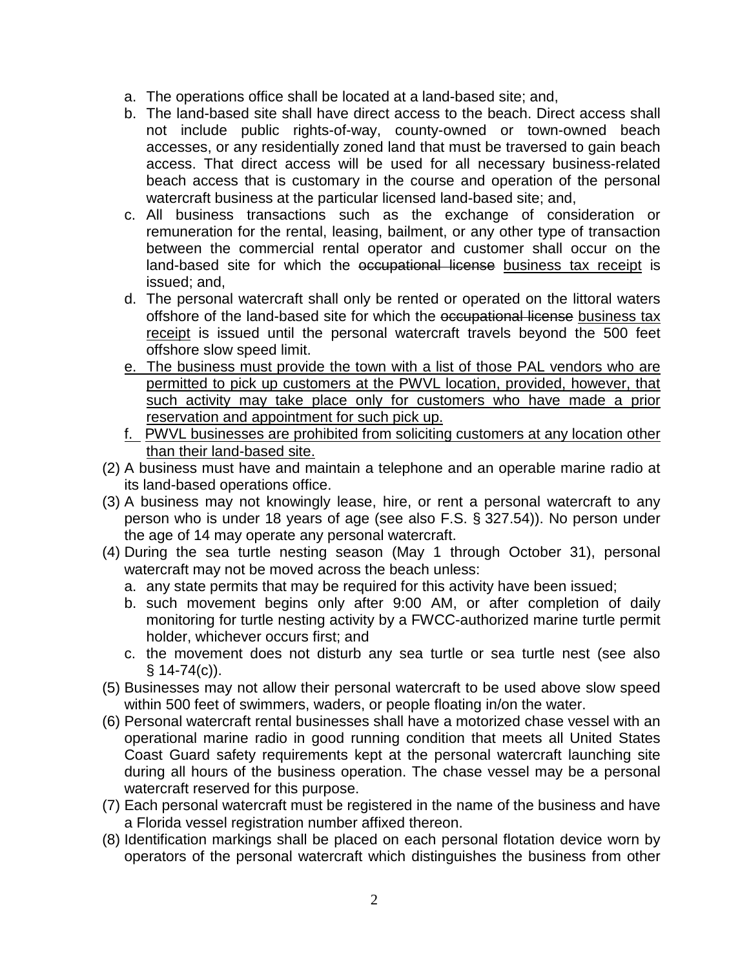- a. The operations office shall be located at a land-based site; and,
- b. The land-based site shall have direct access to the beach. Direct access shall not include public rights-of-way, county-owned or town-owned beach accesses, or any residentially zoned land that must be traversed to gain beach access. That direct access will be used for all necessary business-related beach access that is customary in the course and operation of the personal watercraft business at the particular licensed land-based site; and,
- c. All business transactions such as the exchange of consideration or remuneration for the rental, leasing, bailment, or any other type of transaction between the commercial rental operator and customer shall occur on the land-based site for which the occupational license business tax receipt is issued; and,
- d. The personal watercraft shall only be rented or operated on the littoral waters offshore of the land-based site for which the occupational license business tax receipt is issued until the personal watercraft travels beyond the 500 feet offshore slow speed limit.
- e. The business must provide the town with a list of those PAL vendors who are permitted to pick up customers at the PWVL location, provided, however, that such activity may take place only for customers who have made a prior reservation and appointment for such pick up.
- f. PWVL businesses are prohibited from soliciting customers at any location other than their land-based site.
- (2) A business must have and maintain a telephone and an operable marine radio at its land-based operations office.
- (3) A business may not knowingly lease, hire, or rent a personal watercraft to any person who is under 18 years of age (see also F.S. § 327.54)). No person under the age of 14 may operate any personal watercraft.
- (4) During the sea turtle nesting season (May 1 through October 31), personal watercraft may not be moved across the beach unless:
	- a. any state permits that may be required for this activity have been issued;
	- b. such movement begins only after 9:00 AM, or after completion of daily monitoring for turtle nesting activity by a FWCC-authorized marine turtle permit holder, whichever occurs first; and
	- c. the movement does not disturb any sea turtle or sea turtle nest (see also  $§ 14-74(c)$ ).
- (5) Businesses may not allow their personal watercraft to be used above slow speed within 500 feet of swimmers, waders, or people floating in/on the water.
- (6) Personal watercraft rental businesses shall have a motorized chase vessel with an operational marine radio in good running condition that meets all United States Coast Guard safety requirements kept at the personal watercraft launching site during all hours of the business operation. The chase vessel may be a personal watercraft reserved for this purpose.
- (7) Each personal watercraft must be registered in the name of the business and have a Florida vessel registration number affixed thereon.
- (8) Identification markings shall be placed on each personal flotation device worn by operators of the personal watercraft which distinguishes the business from other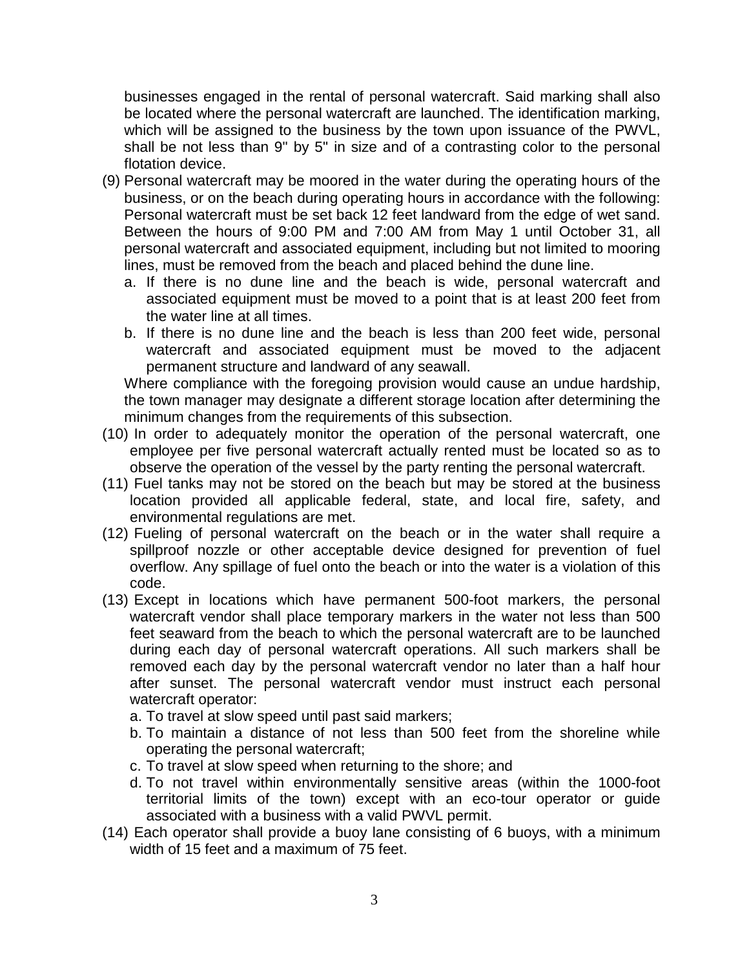businesses engaged in the rental of personal watercraft. Said marking shall also be located where the personal watercraft are launched. The identification marking, which will be assigned to the business by the town upon issuance of the PWVL, shall be not less than 9" by 5" in size and of a contrasting color to the personal flotation device.

- (9) Personal watercraft may be moored in the water during the operating hours of the business, or on the beach during operating hours in accordance with the following: Personal watercraft must be set back 12 feet landward from the edge of wet sand. Between the hours of 9:00 PM and 7:00 AM from May 1 until October 31, all personal watercraft and associated equipment, including but not limited to mooring lines, must be removed from the beach and placed behind the dune line.
	- a. If there is no dune line and the beach is wide, personal watercraft and associated equipment must be moved to a point that is at least 200 feet from the water line at all times.
	- b. If there is no dune line and the beach is less than 200 feet wide, personal watercraft and associated equipment must be moved to the adjacent permanent structure and landward of any seawall.

Where compliance with the foregoing provision would cause an undue hardship, the town manager may designate a different storage location after determining the minimum changes from the requirements of this subsection.

- (10) In order to adequately monitor the operation of the personal watercraft, one employee per five personal watercraft actually rented must be located so as to observe the operation of the vessel by the party renting the personal watercraft.
- (11) Fuel tanks may not be stored on the beach but may be stored at the business location provided all applicable federal, state, and local fire, safety, and environmental regulations are met.
- (12) Fueling of personal watercraft on the beach or in the water shall require a spillproof nozzle or other acceptable device designed for prevention of fuel overflow. Any spillage of fuel onto the beach or into the water is a violation of this code.
- (13) Except in locations which have permanent 500-foot markers, the personal watercraft vendor shall place temporary markers in the water not less than 500 feet seaward from the beach to which the personal watercraft are to be launched during each day of personal watercraft operations. All such markers shall be removed each day by the personal watercraft vendor no later than a half hour after sunset. The personal watercraft vendor must instruct each personal watercraft operator:
	- a. To travel at slow speed until past said markers;
	- b. To maintain a distance of not less than 500 feet from the shoreline while operating the personal watercraft;
	- c. To travel at slow speed when returning to the shore; and
	- d. To not travel within environmentally sensitive areas (within the 1000-foot territorial limits of the town) except with an eco-tour operator or guide associated with a business with a valid PWVL permit.
- (14) Each operator shall provide a buoy lane consisting of 6 buoys, with a minimum width of 15 feet and a maximum of 75 feet.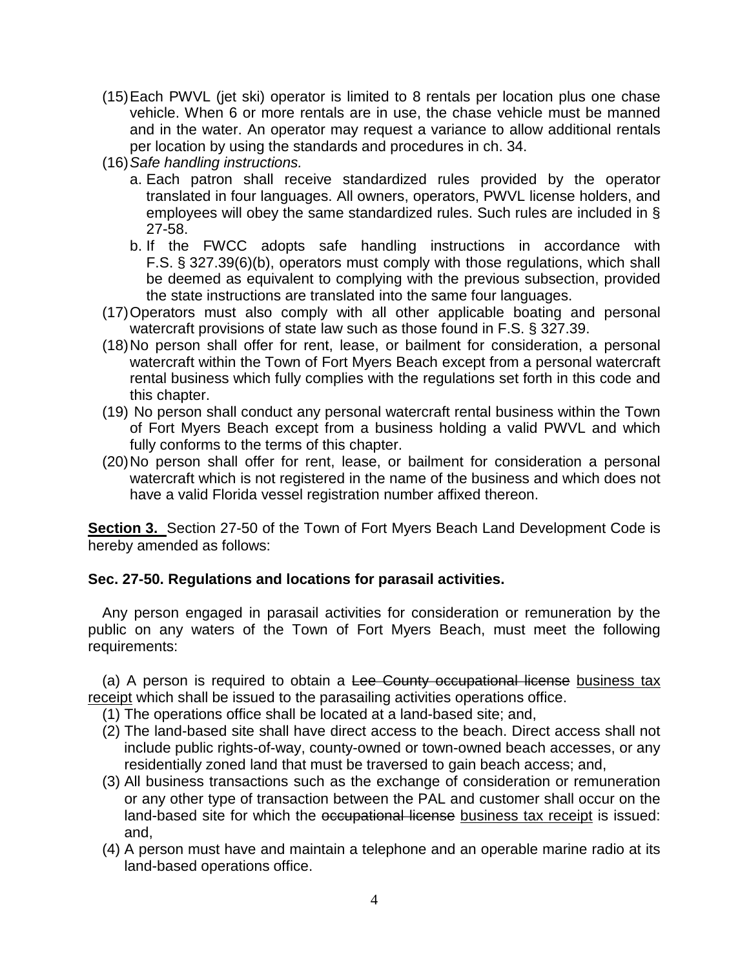- (15)Each PWVL (jet ski) operator is limited to 8 rentals per location plus one chase vehicle. When 6 or more rentals are in use, the chase vehicle must be manned and in the water. An operator may request a variance to allow additional rentals per location by using the standards and procedures in ch. 34.
- (16)*Safe handling instructions.*
	- a. Each patron shall receive standardized rules provided by the operator translated in four languages. All owners, operators, PWVL license holders, and employees will obey the same standardized rules. Such rules are included in § 27-58.
	- b. If the FWCC adopts safe handling instructions in accordance with F.S. § 327.39(6)(b), operators must comply with those regulations, which shall be deemed as equivalent to complying with the previous subsection, provided the state instructions are translated into the same four languages.
- (17)Operators must also comply with all other applicable boating and personal watercraft provisions of state law such as those found in F.S. § 327.39.
- (18)No person shall offer for rent, lease, or bailment for consideration, a personal watercraft within the Town of Fort Myers Beach except from a personal watercraft rental business which fully complies with the regulations set forth in this code and this chapter.
- (19) No person shall conduct any personal watercraft rental business within the Town of Fort Myers Beach except from a business holding a valid PWVL and which fully conforms to the terms of this chapter.
- (20)No person shall offer for rent, lease, or bailment for consideration a personal watercraft which is not registered in the name of the business and which does not have a valid Florida vessel registration number affixed thereon.

**Section 3.** Section 27-50 of the Town of Fort Myers Beach Land Development Code is hereby amended as follows:

# **Sec. 27-50. Regulations and locations for parasail activities.**

Any person engaged in parasail activities for consideration or remuneration by the public on any waters of the Town of Fort Myers Beach, must meet the following requirements:

(a) A person is required to obtain a Lee County occupational license business tax receipt which shall be issued to the parasailing activities operations office.

- (1) The operations office shall be located at a land-based site; and,
- (2) The land-based site shall have direct access to the beach. Direct access shall not include public rights-of-way, county-owned or town-owned beach accesses, or any residentially zoned land that must be traversed to gain beach access; and,
- (3) All business transactions such as the exchange of consideration or remuneration or any other type of transaction between the PAL and customer shall occur on the land-based site for which the occupational license business tax receipt is issued: and,
- (4) A person must have and maintain a telephone and an operable marine radio at its land-based operations office.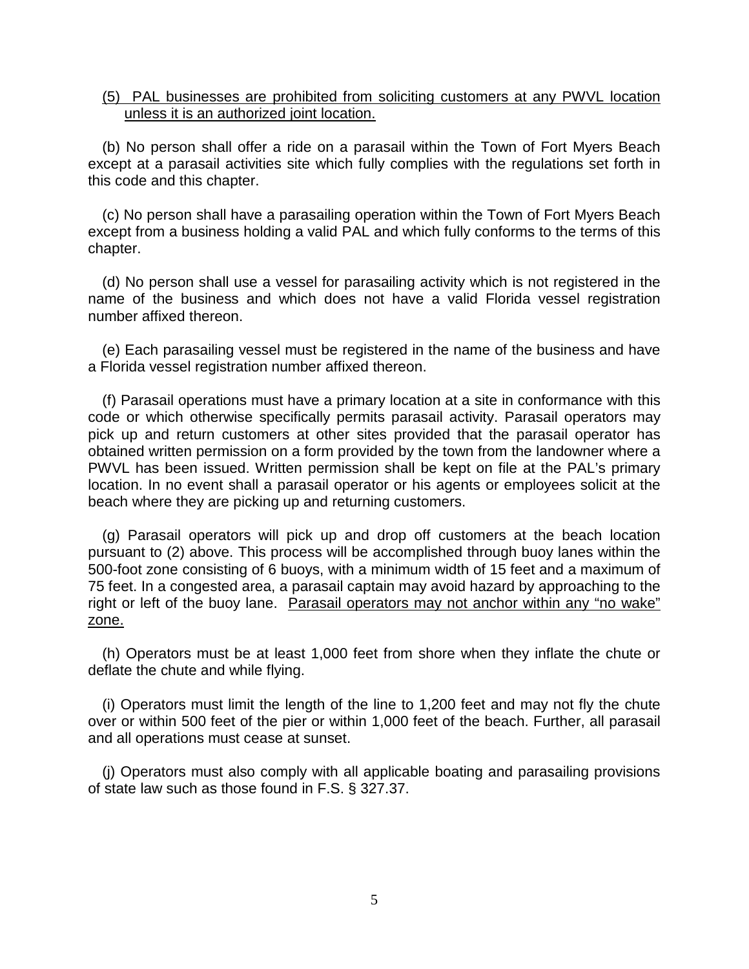#### (5) PAL businesses are prohibited from soliciting customers at any PWVL location unless it is an authorized joint location.

(b) No person shall offer a ride on a parasail within the Town of Fort Myers Beach except at a parasail activities site which fully complies with the regulations set forth in this code and this chapter.

(c) No person shall have a parasailing operation within the Town of Fort Myers Beach except from a business holding a valid PAL and which fully conforms to the terms of this chapter.

(d) No person shall use a vessel for parasailing activity which is not registered in the name of the business and which does not have a valid Florida vessel registration number affixed thereon.

(e) Each parasailing vessel must be registered in the name of the business and have a Florida vessel registration number affixed thereon.

(f) Parasail operations must have a primary location at a site in conformance with this code or which otherwise specifically permits parasail activity. Parasail operators may pick up and return customers at other sites provided that the parasail operator has obtained written permission on a form provided by the town from the landowner where a PWVL has been issued. Written permission shall be kept on file at the PAL's primary location. In no event shall a parasail operator or his agents or employees solicit at the beach where they are picking up and returning customers.

(g) Parasail operators will pick up and drop off customers at the beach location pursuant to (2) above. This process will be accomplished through buoy lanes within the 500-foot zone consisting of 6 buoys, with a minimum width of 15 feet and a maximum of 75 feet. In a congested area, a parasail captain may avoid hazard by approaching to the right or left of the buoy lane. Parasail operators may not anchor within any "no wake" zone.

(h) Operators must be at least 1,000 feet from shore when they inflate the chute or deflate the chute and while flying.

(i) Operators must limit the length of the line to 1,200 feet and may not fly the chute over or within 500 feet of the pier or within 1,000 feet of the beach. Further, all parasail and all operations must cease at sunset.

(j) Operators must also comply with all applicable boating and parasailing provisions of state law such as those found in F.S. § 327.37.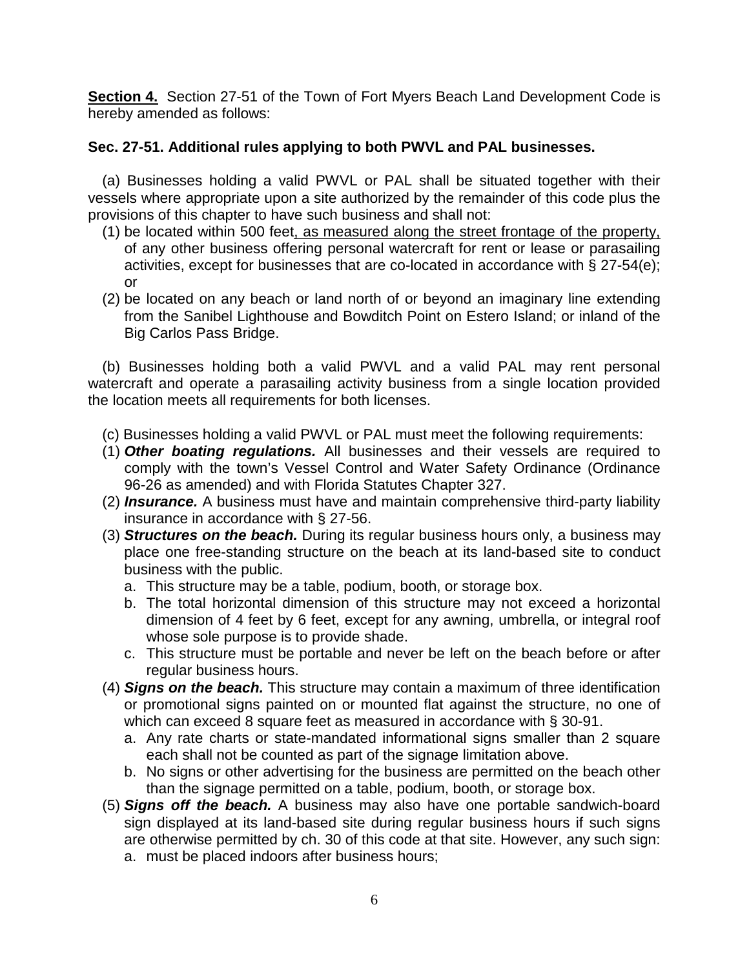**Section 4.** Section 27-51 of the Town of Fort Myers Beach Land Development Code is hereby amended as follows:

# **Sec. 27-51. Additional rules applying to both PWVL and PAL businesses.**

(a) Businesses holding a valid PWVL or PAL shall be situated together with their vessels where appropriate upon a site authorized by the remainder of this code plus the provisions of this chapter to have such business and shall not:

- (1) be located within 500 feet, as measured along the street frontage of the property, of any other business offering personal watercraft for rent or lease or parasailing activities, except for businesses that are co-located in accordance with § 27-54(e); or
- (2) be located on any beach or land north of or beyond an imaginary line extending from the Sanibel Lighthouse and Bowditch Point on Estero Island; or inland of the Big Carlos Pass Bridge.

(b) Businesses holding both a valid PWVL and a valid PAL may rent personal watercraft and operate a parasailing activity business from a single location provided the location meets all requirements for both licenses.

- (c) Businesses holding a valid PWVL or PAL must meet the following requirements:
- (1) *Other boating regulations.* All businesses and their vessels are required to comply with the town's Vessel Control and Water Safety Ordinance (Ordinance 96-26 as amended) and with Florida Statutes Chapter 327.
- (2) *Insurance.* A business must have and maintain comprehensive third-party liability insurance in accordance with § 27-56.
- (3) *Structures on the beach.* During its regular business hours only, a business may place one free-standing structure on the beach at its land-based site to conduct business with the public.
	- a. This structure may be a table, podium, booth, or storage box.
	- b. The total horizontal dimension of this structure may not exceed a horizontal dimension of 4 feet by 6 feet, except for any awning, umbrella, or integral roof whose sole purpose is to provide shade.
	- c. This structure must be portable and never be left on the beach before or after regular business hours.
- (4) *Signs on the beach.* This structure may contain a maximum of three identification or promotional signs painted on or mounted flat against the structure, no one of which can exceed 8 square feet as measured in accordance with § 30-91.
	- a. Any rate charts or state-mandated informational signs smaller than 2 square each shall not be counted as part of the signage limitation above.
	- b. No signs or other advertising for the business are permitted on the beach other than the signage permitted on a table, podium, booth, or storage box.
- (5) *Signs off the beach.* A business may also have one portable sandwich-board sign displayed at its land-based site during regular business hours if such signs are otherwise permitted by ch. 30 of this code at that site. However, any such sign:
	- a. must be placed indoors after business hours;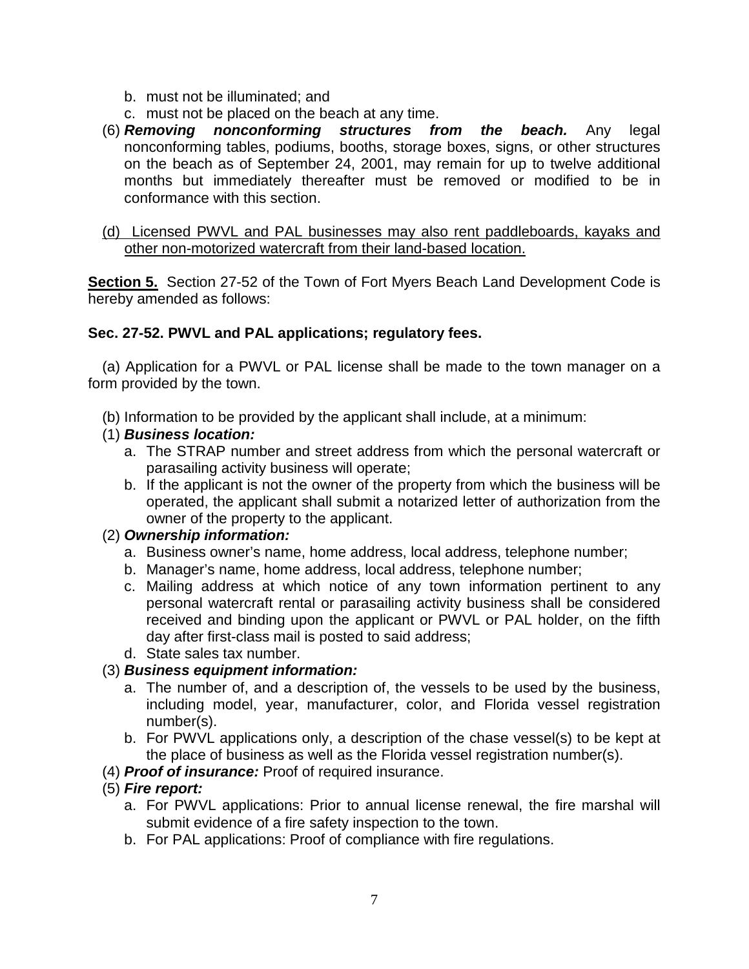- b. must not be illuminated; and
- c. must not be placed on the beach at any time.
- (6) *Removing nonconforming structures from the beach.* Any legal nonconforming tables, podiums, booths, storage boxes, signs, or other structures on the beach as of September 24, 2001, may remain for up to twelve additional months but immediately thereafter must be removed or modified to be in conformance with this section.

### (d) Licensed PWVL and PAL businesses may also rent paddleboards, kayaks and other non-motorized watercraft from their land-based location.

**Section 5.** Section 27-52 of the Town of Fort Myers Beach Land Development Code is hereby amended as follows:

## **Sec. 27-52. PWVL and PAL applications; regulatory fees.**

(a) Application for a PWVL or PAL license shall be made to the town manager on a form provided by the town.

(b) Information to be provided by the applicant shall include, at a minimum:

## (1) *Business location:*

- a. The STRAP number and street address from which the personal watercraft or parasailing activity business will operate;
- b. If the applicant is not the owner of the property from which the business will be operated, the applicant shall submit a notarized letter of authorization from the owner of the property to the applicant.

## (2) *Ownership information:*

- a. Business owner's name, home address, local address, telephone number;
- b. Manager's name, home address, local address, telephone number;
- c. Mailing address at which notice of any town information pertinent to any personal watercraft rental or parasailing activity business shall be considered received and binding upon the applicant or PWVL or PAL holder, on the fifth day after first-class mail is posted to said address;
- d. State sales tax number.

# (3) *Business equipment information:*

- a. The number of, and a description of, the vessels to be used by the business, including model, year, manufacturer, color, and Florida vessel registration number(s).
- b. For PWVL applications only, a description of the chase vessel(s) to be kept at the place of business as well as the Florida vessel registration number(s).
- (4) *Proof of insurance:* Proof of required insurance.

# (5) *Fire report:*

- a. For PWVL applications: Prior to annual license renewal, the fire marshal will submit evidence of a fire safety inspection to the town.
- b. For PAL applications: Proof of compliance with fire regulations.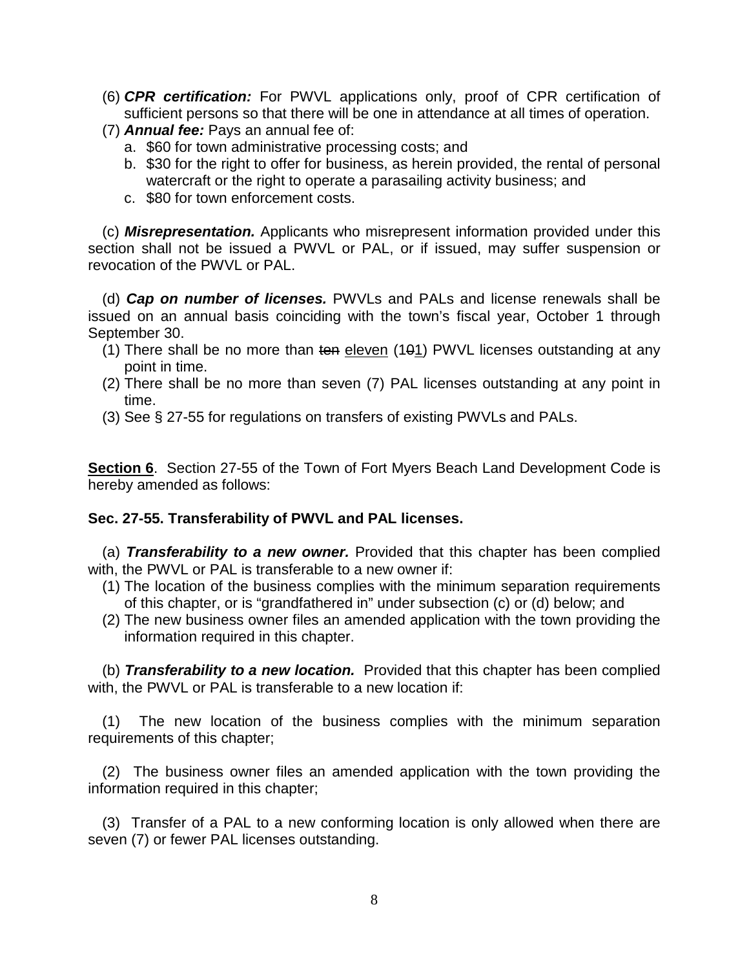- (6) *CPR certification:* For PWVL applications only, proof of CPR certification of sufficient persons so that there will be one in attendance at all times of operation.
- (7) *Annual fee:* Pays an annual fee of:
	- a. \$60 for town administrative processing costs; and
	- b. \$30 for the right to offer for business, as herein provided, the rental of personal watercraft or the right to operate a parasailing activity business; and
	- c. \$80 for town enforcement costs.

(c) *Misrepresentation.* Applicants who misrepresent information provided under this section shall not be issued a PWVL or PAL, or if issued, may suffer suspension or revocation of the PWVL or PAL.

(d) *Cap on number of licenses.* PWVLs and PALs and license renewals shall be issued on an annual basis coinciding with the town's fiscal year, October 1 through September 30.

- (1) There shall be no more than ten eleven  $(101)$  PWVL licenses outstanding at any point in time.
- (2) There shall be no more than seven (7) PAL licenses outstanding at any point in time.
- (3) See § 27-55 for regulations on transfers of existing PWVLs and PALs.

**Section 6**. Section 27-55 of the Town of Fort Myers Beach Land Development Code is hereby amended as follows:

## **Sec. 27-55. Transferability of PWVL and PAL licenses.**

(a) *Transferability to a new owner.* Provided that this chapter has been complied with, the PWVL or PAL is transferable to a new owner if:

- (1) The location of the business complies with the minimum separation requirements of this chapter, or is "grandfathered in" under subsection (c) or (d) below; and
- (2) The new business owner files an amended application with the town providing the information required in this chapter.

(b) *Transferability to a new location.* Provided that this chapter has been complied with, the PWVL or PAL is transferable to a new location if:

(1) The new location of the business complies with the minimum separation requirements of this chapter;

(2) The business owner files an amended application with the town providing the information required in this chapter;

(3) Transfer of a PAL to a new conforming location is only allowed when there are seven (7) or fewer PAL licenses outstanding.